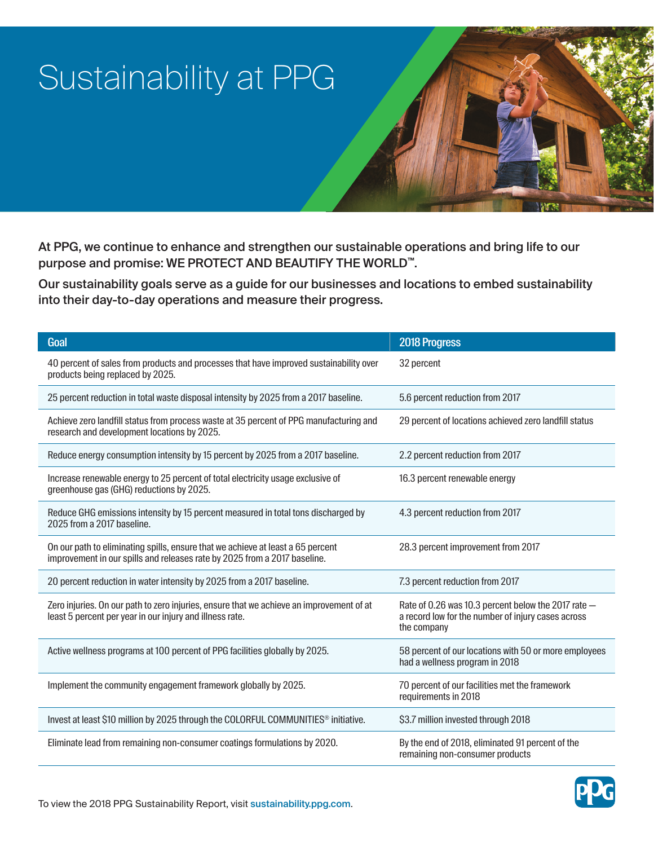# Sustainability at PPG

At PPG, we continue to enhance and strengthen our sustainable operations and bring life to our purpose and promise: WE PROTECT AND BEAUTIFY THE WORLD™.

Our sustainability goals serve as a guide for our businesses and locations to embed sustainability into their day-to-day operations and measure their progress.

| Goal                                                                                                                                                         | <b>2018 Progress</b>                                                                                                     |
|--------------------------------------------------------------------------------------------------------------------------------------------------------------|--------------------------------------------------------------------------------------------------------------------------|
| 40 percent of sales from products and processes that have improved sustainability over<br>products being replaced by 2025.                                   | 32 percent                                                                                                               |
| 25 percent reduction in total waste disposal intensity by 2025 from a 2017 baseline.                                                                         | 5.6 percent reduction from 2017                                                                                          |
| Achieve zero landfill status from process waste at 35 percent of PPG manufacturing and<br>research and development locations by 2025.                        | 29 percent of locations achieved zero landfill status                                                                    |
| Reduce energy consumption intensity by 15 percent by 2025 from a 2017 baseline.                                                                              | 2.2 percent reduction from 2017                                                                                          |
| Increase renewable energy to 25 percent of total electricity usage exclusive of<br>greenhouse gas (GHG) reductions by 2025.                                  | 16.3 percent renewable energy                                                                                            |
| Reduce GHG emissions intensity by 15 percent measured in total tons discharged by<br>2025 from a 2017 baseline.                                              | 4.3 percent reduction from 2017                                                                                          |
| On our path to eliminating spills, ensure that we achieve at least a 65 percent<br>improvement in our spills and releases rate by 2025 from a 2017 baseline. | 28.3 percent improvement from 2017                                                                                       |
| 20 percent reduction in water intensity by 2025 from a 2017 baseline.                                                                                        | 7.3 percent reduction from 2017                                                                                          |
| Zero injuries. On our path to zero injuries, ensure that we achieve an improvement of at<br>least 5 percent per year in our injury and illness rate.         | Rate of 0.26 was 10.3 percent below the 2017 rate -<br>a record low for the number of injury cases across<br>the company |
| Active wellness programs at 100 percent of PPG facilities globally by 2025.                                                                                  | 58 percent of our locations with 50 or more employees<br>had a wellness program in 2018                                  |
| Implement the community engagement framework globally by 2025.                                                                                               | 70 percent of our facilities met the framework<br>requirements in 2018                                                   |
| Invest at least \$10 million by 2025 through the COLORFUL COMMUNITIES <sup>®</sup> initiative.                                                               | \$3.7 million invested through 2018                                                                                      |
| Eliminate lead from remaining non-consumer coatings formulations by 2020.                                                                                    | By the end of 2018, eliminated 91 percent of the<br>remaining non-consumer products                                      |